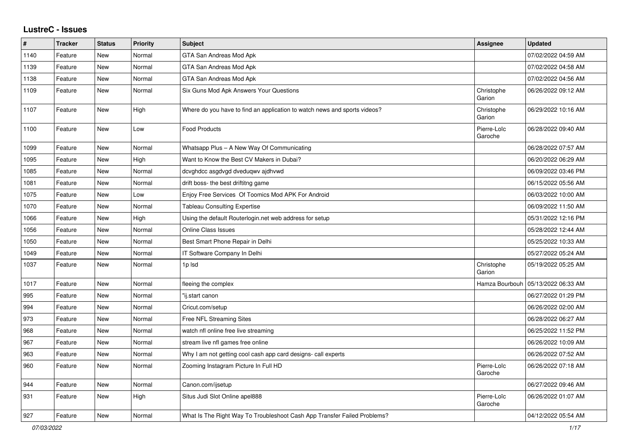## **LustreC - Issues**

| #    | <b>Tracker</b> | <b>Status</b> | Priority | <b>Subject</b>                                                            | <b>Assignee</b>        | <b>Updated</b>      |
|------|----------------|---------------|----------|---------------------------------------------------------------------------|------------------------|---------------------|
| 1140 | Feature        | New           | Normal   | GTA San Andreas Mod Apk                                                   |                        | 07/02/2022 04:59 AM |
| 1139 | Feature        | New           | Normal   | GTA San Andreas Mod Apk                                                   |                        | 07/02/2022 04:58 AM |
| 1138 | Feature        | New           | Normal   | GTA San Andreas Mod Apk                                                   |                        | 07/02/2022 04:56 AM |
| 1109 | Feature        | New           | Normal   | Six Guns Mod Apk Answers Your Questions                                   | Christophe<br>Garion   | 06/26/2022 09:12 AM |
| 1107 | Feature        | New           | High     | Where do you have to find an application to watch news and sports videos? | Christophe<br>Garion   | 06/29/2022 10:16 AM |
| 1100 | Feature        | New           | Low      | <b>Food Products</b>                                                      | Pierre-Loïc<br>Garoche | 06/28/2022 09:40 AM |
| 1099 | Feature        | New           | Normal   | Whatsapp Plus - A New Way Of Communicating                                |                        | 06/28/2022 07:57 AM |
| 1095 | Feature        | New           | High     | Want to Know the Best CV Makers in Dubai?                                 |                        | 06/20/2022 06:29 AM |
| 1085 | Feature        | New           | Normal   | dcvghdcc asgdvgd dveduqwv ajdhvwd                                         |                        | 06/09/2022 03:46 PM |
| 1081 | Feature        | New           | Normal   | drift boss- the best driftitng game                                       |                        | 06/15/2022 05:56 AM |
| 1075 | Feature        | New           | Low      | Enjoy Free Services Of Toomics Mod APK For Android                        |                        | 06/03/2022 10:00 AM |
| 1070 | Feature        | New           | Normal   | <b>Tableau Consulting Expertise</b>                                       |                        | 06/09/2022 11:50 AM |
| 1066 | Feature        | New           | High     | Using the default Routerlogin.net web address for setup                   |                        | 05/31/2022 12:16 PM |
| 1056 | Feature        | New           | Normal   | <b>Online Class Issues</b>                                                |                        | 05/28/2022 12:44 AM |
| 1050 | Feature        | <b>New</b>    | Normal   | Best Smart Phone Repair in Delhi                                          |                        | 05/25/2022 10:33 AM |
| 1049 | Feature        | New           | Normal   | IT Software Company In Delhi                                              |                        | 05/27/2022 05:24 AM |
| 1037 | Feature        | New           | Normal   | 1p lsd                                                                    | Christophe<br>Garion   | 05/19/2022 05:25 AM |
| 1017 | Feature        | New           | Normal   | fleeing the complex                                                       | Hamza Bourbouh         | 05/13/2022 06:33 AM |
| 995  | Feature        | New           | Normal   | "ij.start canon                                                           |                        | 06/27/2022 01:29 PM |
| 994  | Feature        | New           | Normal   | Cricut.com/setup                                                          |                        | 06/26/2022 02:00 AM |
| 973  | Feature        | New           | Normal   | <b>Free NFL Streaming Sites</b>                                           |                        | 06/28/2022 06:27 AM |
| 968  | Feature        | New           | Normal   | watch nfl online free live streaming                                      |                        | 06/25/2022 11:52 PM |
| 967  | Feature        | New           | Normal   | stream live nfl games free online                                         |                        | 06/26/2022 10:09 AM |
| 963  | Feature        | New           | Normal   | Why I am not getting cool cash app card designs- call experts             |                        | 06/26/2022 07:52 AM |
| 960  | Feature        | <b>New</b>    | Normal   | Zooming Instagram Picture In Full HD                                      | Pierre-Loïc<br>Garoche | 06/26/2022 07:18 AM |
| 944  | Feature        | <b>New</b>    | Normal   | Canon.com/ijsetup                                                         |                        | 06/27/2022 09:46 AM |
| 931  | Feature        | New           | High     | Situs Judi Slot Online apel888                                            | Pierre-Loïc<br>Garoche | 06/26/2022 01:07 AM |
| 927  | Feature        | New           | Normal   | What Is The Right Way To Troubleshoot Cash App Transfer Failed Problems?  |                        | 04/12/2022 05:54 AM |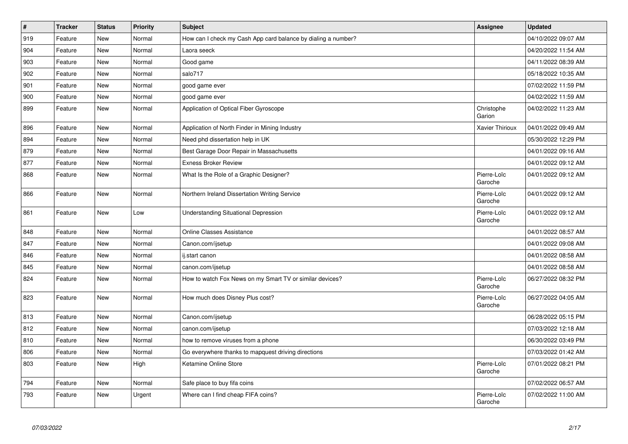| $\vert$ # | <b>Tracker</b> | <b>Status</b> | <b>Priority</b> | <b>Subject</b>                                                | <b>Assignee</b>        | <b>Updated</b>      |
|-----------|----------------|---------------|-----------------|---------------------------------------------------------------|------------------------|---------------------|
| 919       | Feature        | <b>New</b>    | Normal          | How can I check my Cash App card balance by dialing a number? |                        | 04/10/2022 09:07 AM |
| 904       | Feature        | <b>New</b>    | Normal          | Laora seeck                                                   |                        | 04/20/2022 11:54 AM |
| 903       | Feature        | New           | Normal          | Good game                                                     |                        | 04/11/2022 08:39 AM |
| 902       | Feature        | <b>New</b>    | Normal          | salo717                                                       |                        | 05/18/2022 10:35 AM |
| 901       | Feature        | <b>New</b>    | Normal          | good game ever                                                |                        | 07/02/2022 11:59 PM |
| 900       | Feature        | <b>New</b>    | Normal          | good game ever                                                |                        | 04/02/2022 11:59 AM |
| 899       | Feature        | New           | Normal          | Application of Optical Fiber Gyroscope                        | Christophe<br>Garion   | 04/02/2022 11:23 AM |
| 896       | Feature        | <b>New</b>    | Normal          | Application of North Finder in Mining Industry                | <b>Xavier Thirioux</b> | 04/01/2022 09:49 AM |
| 894       | Feature        | New           | Normal          | Need phd dissertation help in UK                              |                        | 05/30/2022 12:29 PM |
| 879       | Feature        | <b>New</b>    | Normal          | Best Garage Door Repair in Massachusetts                      |                        | 04/01/2022 09:16 AM |
| 877       | Feature        | New           | Normal          | <b>Exness Broker Review</b>                                   |                        | 04/01/2022 09:12 AM |
| 868       | Feature        | <b>New</b>    | Normal          | What Is the Role of a Graphic Designer?                       | Pierre-Loïc<br>Garoche | 04/01/2022 09:12 AM |
| 866       | Feature        | <b>New</b>    | Normal          | Northern Ireland Dissertation Writing Service                 | Pierre-Loïc<br>Garoche | 04/01/2022 09:12 AM |
| 861       | Feature        | New           | Low             | <b>Understanding Situational Depression</b>                   | Pierre-Loïc<br>Garoche | 04/01/2022 09:12 AM |
| 848       | Feature        | <b>New</b>    | Normal          | <b>Online Classes Assistance</b>                              |                        | 04/01/2022 08:57 AM |
| 847       | Feature        | New           | Normal          | Canon.com/ijsetup                                             |                        | 04/01/2022 09:08 AM |
| 846       | Feature        | New           | Normal          | ij.start canon                                                |                        | 04/01/2022 08:58 AM |
| 845       | Feature        | New           | Normal          | canon.com/ijsetup                                             |                        | 04/01/2022 08:58 AM |
| 824       | Feature        | New           | Normal          | How to watch Fox News on my Smart TV or similar devices?      | Pierre-Loïc<br>Garoche | 06/27/2022 08:32 PM |
| 823       | Feature        | <b>New</b>    | Normal          | How much does Disney Plus cost?                               | Pierre-Loïc<br>Garoche | 06/27/2022 04:05 AM |
| 813       | Feature        | <b>New</b>    | Normal          | Canon.com/ijsetup                                             |                        | 06/28/2022 05:15 PM |
| 812       | Feature        | New           | Normal          | canon.com/ijsetup                                             |                        | 07/03/2022 12:18 AM |
| 810       | Feature        | <b>New</b>    | Normal          | how to remove viruses from a phone                            |                        | 06/30/2022 03:49 PM |
| 806       | Feature        | <b>New</b>    | Normal          | Go everywhere thanks to mapquest driving directions           |                        | 07/03/2022 01:42 AM |
| 803       | Feature        | New           | High            | Ketamine Online Store                                         | Pierre-Loïc<br>Garoche | 07/01/2022 08:21 PM |
| 794       | Feature        | <b>New</b>    | Normal          | Safe place to buy fifa coins                                  |                        | 07/02/2022 06:57 AM |
| 793       | Feature        | New           | Urgent          | Where can I find cheap FIFA coins?                            | Pierre-Loïc<br>Garoche | 07/02/2022 11:00 AM |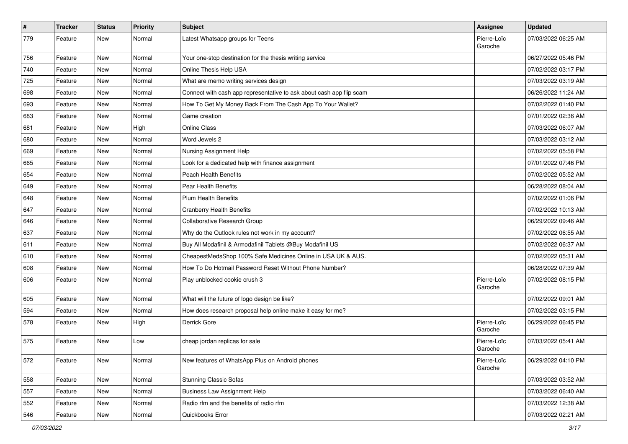| $\vert$ # | <b>Tracker</b> | <b>Status</b> | <b>Priority</b> | <b>Subject</b>                                                       | <b>Assignee</b>        | <b>Updated</b>      |
|-----------|----------------|---------------|-----------------|----------------------------------------------------------------------|------------------------|---------------------|
| 779       | Feature        | New           | Normal          | Latest Whatsapp groups for Teens                                     | Pierre-Loïc<br>Garoche | 07/03/2022 06:25 AM |
| 756       | Feature        | <b>New</b>    | Normal          | Your one-stop destination for the thesis writing service             |                        | 06/27/2022 05:46 PM |
| 740       | Feature        | <b>New</b>    | Normal          | Online Thesis Help USA                                               |                        | 07/02/2022 03:17 PM |
| 725       | Feature        | <b>New</b>    | Normal          | What are memo writing services design                                |                        | 07/03/2022 03:19 AM |
| 698       | Feature        | New           | Normal          | Connect with cash app representative to ask about cash app flip scam |                        | 06/26/2022 11:24 AM |
| 693       | Feature        | <b>New</b>    | Normal          | How To Get My Money Back From The Cash App To Your Wallet?           |                        | 07/02/2022 01:40 PM |
| 683       | Feature        | New           | Normal          | Game creation                                                        |                        | 07/01/2022 02:36 AM |
| 681       | Feature        | <b>New</b>    | High            | Online Class                                                         |                        | 07/03/2022 06:07 AM |
| 680       | Feature        | <b>New</b>    | Normal          | Word Jewels 2                                                        |                        | 07/03/2022 03:12 AM |
| 669       | Feature        | New           | Normal          | Nursing Assignment Help                                              |                        | 07/02/2022 05:58 PM |
| 665       | Feature        | New           | Normal          | Look for a dedicated help with finance assignment                    |                        | 07/01/2022 07:46 PM |
| 654       | Feature        | <b>New</b>    | Normal          | <b>Peach Health Benefits</b>                                         |                        | 07/02/2022 05:52 AM |
| 649       | Feature        | <b>New</b>    | Normal          | <b>Pear Health Benefits</b>                                          |                        | 06/28/2022 08:04 AM |
| 648       | Feature        | <b>New</b>    | Normal          | <b>Plum Health Benefits</b>                                          |                        | 07/02/2022 01:06 PM |
| 647       | Feature        | New           | Normal          | <b>Cranberry Health Benefits</b>                                     |                        | 07/02/2022 10:13 AM |
| 646       | Feature        | New           | Normal          | Collaborative Research Group                                         |                        | 06/29/2022 09:46 AM |
| 637       | Feature        | <b>New</b>    | Normal          | Why do the Outlook rules not work in my account?                     |                        | 07/02/2022 06:55 AM |
| 611       | Feature        | New           | Normal          | Buy All Modafinil & Armodafinil Tablets @Buy Modafinil US            |                        | 07/02/2022 06:37 AM |
| 610       | Feature        | <b>New</b>    | Normal          | CheapestMedsShop 100% Safe Medicines Online in USA UK & AUS.         |                        | 07/02/2022 05:31 AM |
| 608       | Feature        | New           | Normal          | How To Do Hotmail Password Reset Without Phone Number?               |                        | 06/28/2022 07:39 AM |
| 606       | Feature        | New           | Normal          | Play unblocked cookie crush 3                                        | Pierre-Loïc<br>Garoche | 07/02/2022 08:15 PM |
| 605       | Feature        | New           | Normal          | What will the future of logo design be like?                         |                        | 07/02/2022 09:01 AM |
| 594       | Feature        | New           | Normal          | How does research proposal help online make it easy for me?          |                        | 07/02/2022 03:15 PM |
| 578       | Feature        | <b>New</b>    | High            | Derrick Gore                                                         | Pierre-Loïc<br>Garoche | 06/29/2022 06:45 PM |
| 575       | Feature        | New           | Low             | cheap jordan replicas for sale                                       | Pierre-Loïc<br>Garoche | 07/03/2022 05:41 AM |
| 572       | Feature        | New           | Normal          | New features of WhatsApp Plus on Android phones                      | Pierre-Loïc<br>Garoche | 06/29/2022 04:10 PM |
| 558       | Feature        | New           | Normal          | <b>Stunning Classic Sofas</b>                                        |                        | 07/03/2022 03:52 AM |
| 557       | Feature        | New           | Normal          | <b>Business Law Assignment Help</b>                                  |                        | 07/03/2022 06:40 AM |
| 552       | Feature        | New           | Normal          | Radio rfm and the benefits of radio rfm                              |                        | 07/03/2022 12:38 AM |
| 546       | Feature        | New           | Normal          | Quickbooks Error                                                     |                        | 07/03/2022 02:21 AM |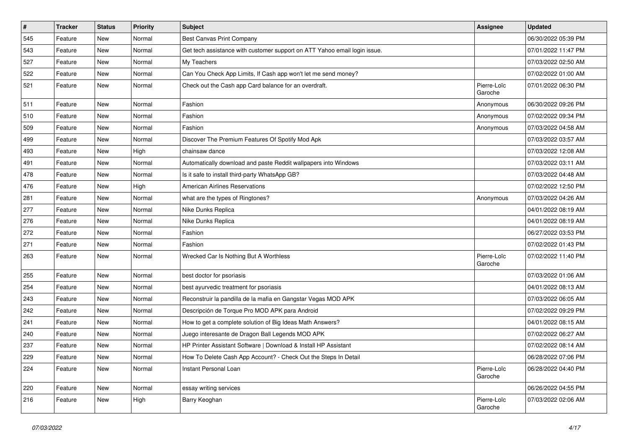| $\vert$ # | <b>Tracker</b> | <b>Status</b> | <b>Priority</b> | <b>Subject</b>                                                            | <b>Assignee</b>        | <b>Updated</b>      |
|-----------|----------------|---------------|-----------------|---------------------------------------------------------------------------|------------------------|---------------------|
| 545       | Feature        | New           | Normal          | Best Canvas Print Company                                                 |                        | 06/30/2022 05:39 PM |
| 543       | Feature        | New           | Normal          | Get tech assistance with customer support on ATT Yahoo email login issue. |                        | 07/01/2022 11:47 PM |
| 527       | Feature        | New           | Normal          | My Teachers                                                               |                        | 07/03/2022 02:50 AM |
| 522       | Feature        | New           | Normal          | Can You Check App Limits, If Cash app won't let me send money?            |                        | 07/02/2022 01:00 AM |
| 521       | Feature        | New           | Normal          | Check out the Cash app Card balance for an overdraft.                     | Pierre-Loïc<br>Garoche | 07/01/2022 06:30 PM |
| 511       | Feature        | New           | Normal          | Fashion                                                                   | Anonymous              | 06/30/2022 09:26 PM |
| 510       | Feature        | <b>New</b>    | Normal          | Fashion                                                                   | Anonymous              | 07/02/2022 09:34 PM |
| 509       | Feature        | <b>New</b>    | Normal          | Fashion                                                                   | Anonymous              | 07/03/2022 04:58 AM |
| 499       | Feature        | <b>New</b>    | Normal          | Discover The Premium Features Of Spotify Mod Apk                          |                        | 07/03/2022 03:57 AM |
| 493       | Feature        | <b>New</b>    | High            | chainsaw dance                                                            |                        | 07/03/2022 12:08 AM |
| 491       | Feature        | New           | Normal          | Automatically download and paste Reddit wallpapers into Windows           |                        | 07/03/2022 03:11 AM |
| 478       | Feature        | <b>New</b>    | Normal          | Is it safe to install third-party WhatsApp GB?                            |                        | 07/03/2022 04:48 AM |
| 476       | Feature        | New           | High            | <b>American Airlines Reservations</b>                                     |                        | 07/02/2022 12:50 PM |
| 281       | Feature        | New           | Normal          | what are the types of Ringtones?                                          | Anonymous              | 07/03/2022 04:26 AM |
| 277       | Feature        | New           | Normal          | Nike Dunks Replica                                                        |                        | 04/01/2022 08:19 AM |
| 276       | Feature        | New           | Normal          | Nike Dunks Replica                                                        |                        | 04/01/2022 08:19 AM |
| 272       | Feature        | New           | Normal          | Fashion                                                                   |                        | 06/27/2022 03:53 PM |
| 271       | Feature        | New           | Normal          | Fashion                                                                   |                        | 07/02/2022 01:43 PM |
| 263       | Feature        | New           | Normal          | Wrecked Car Is Nothing But A Worthless                                    | Pierre-Loïc<br>Garoche | 07/02/2022 11:40 PM |
| 255       | Feature        | New           | Normal          | best doctor for psoriasis                                                 |                        | 07/03/2022 01:06 AM |
| 254       | Feature        | New           | Normal          | best ayurvedic treatment for psoriasis                                    |                        | 04/01/2022 08:13 AM |
| 243       | Feature        | New           | Normal          | Reconstruir la pandilla de la mafia en Gangstar Vegas MOD APK             |                        | 07/03/2022 06:05 AM |
| 242       | Feature        | New           | Normal          | Descripción de Torque Pro MOD APK para Android                            |                        | 07/02/2022 09:29 PM |
| 241       | Feature        | New           | Normal          | How to get a complete solution of Big Ideas Math Answers?                 |                        | 04/01/2022 08:15 AM |
| 240       | Feature        | <b>New</b>    | Normal          | Juego interesante de Dragon Ball Legends MOD APK                          |                        | 07/02/2022 06:27 AM |
| 237       | Feature        | <b>New</b>    | Normal          | HP Printer Assistant Software   Download & Install HP Assistant           |                        | 07/02/2022 08:14 AM |
| 229       | Feature        | <b>New</b>    | Normal          | How To Delete Cash App Account? - Check Out the Steps In Detail           |                        | 06/28/2022 07:06 PM |
| 224       | Feature        | <b>New</b>    | Normal          | Instant Personal Loan                                                     | Pierre-Loïc<br>Garoche | 06/28/2022 04:40 PM |
| 220       | Feature        | New           | Normal          | essay writing services                                                    |                        | 06/26/2022 04:55 PM |
| 216       | Feature        | New           | High            | Barry Keoghan                                                             | Pierre-Loïc<br>Garoche | 07/03/2022 02:06 AM |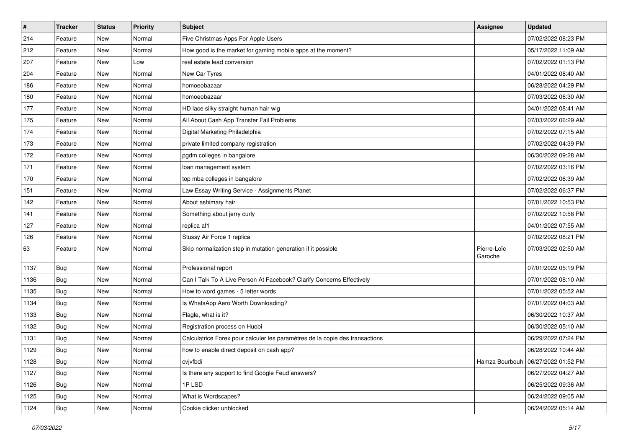| $\sharp$ | <b>Tracker</b> | <b>Status</b> | <b>Priority</b> | <b>Subject</b>                                                               | <b>Assignee</b>        | <b>Updated</b>      |
|----------|----------------|---------------|-----------------|------------------------------------------------------------------------------|------------------------|---------------------|
| 214      | Feature        | New           | Normal          | Five Christmas Apps For Apple Users                                          |                        | 07/02/2022 08:23 PM |
| 212      | Feature        | New           | Normal          | How good is the market for gaming mobile apps at the moment?                 |                        | 05/17/2022 11:09 AM |
| 207      | Feature        | New           | Low             | real estate lead conversion                                                  |                        | 07/02/2022 01:13 PM |
| 204      | Feature        | New           | Normal          | New Car Tyres                                                                |                        | 04/01/2022 08:40 AM |
| 186      | Feature        | New           | Normal          | homoeobazaar                                                                 |                        | 06/28/2022 04:29 PM |
| 180      | Feature        | New           | Normal          | homoeobazaar                                                                 |                        | 07/03/2022 06:30 AM |
| 177      | Feature        | New           | Normal          | HD lace silky straight human hair wig                                        |                        | 04/01/2022 08:41 AM |
| 175      | Feature        | New           | Normal          | All About Cash App Transfer Fail Problems                                    |                        | 07/03/2022 06:29 AM |
| 174      | Feature        | New           | Normal          | Digital Marketing Philadelphia                                               |                        | 07/02/2022 07:15 AM |
| 173      | Feature        | New           | Normal          | private limited company registration                                         |                        | 07/02/2022 04:39 PM |
| 172      | Feature        | New           | Normal          | pgdm colleges in bangalore                                                   |                        | 06/30/2022 09:28 AM |
| 171      | Feature        | New           | Normal          | loan management system                                                       |                        | 07/02/2022 03:16 PM |
| 170      | Feature        | New           | Normal          | top mba colleges in bangalore                                                |                        | 07/02/2022 06:39 AM |
| 151      | Feature        | New           | Normal          | Law Essay Writing Service - Assignments Planet                               |                        | 07/02/2022 06:37 PM |
| 142      | Feature        | <b>New</b>    | Normal          | About ashimary hair                                                          |                        | 07/01/2022 10:53 PM |
| 141      | Feature        | New           | Normal          | Something about jerry curly                                                  |                        | 07/02/2022 10:58 PM |
| 127      | Feature        | New           | Normal          | replica af1                                                                  |                        | 04/01/2022 07:55 AM |
| 126      | Feature        | New           | Normal          | Stussy Air Force 1 replica                                                   |                        | 07/02/2022 08:21 PM |
| 63       | Feature        | New           | Normal          | Skip normalization step in mutation generation if it possible                | Pierre-Loïc<br>Garoche | 07/03/2022 02:50 AM |
| 1137     | <b>Bug</b>     | New           | Normal          | Professional report                                                          |                        | 07/01/2022 05:19 PM |
| 1136     | <b>Bug</b>     | New           | Normal          | Can I Talk To A Live Person At Facebook? Clarify Concerns Effectively        |                        | 07/01/2022 08:10 AM |
| 1135     | Bug            | New           | Normal          | How to word games - 5 letter words                                           |                        | 07/01/2022 05:52 AM |
| 1134     | <b>Bug</b>     | New           | Normal          | Is WhatsApp Aero Worth Downloading?                                          |                        | 07/01/2022 04:03 AM |
| 1133     | <b>Bug</b>     | New           | Normal          | Flagle, what is it?                                                          |                        | 06/30/2022 10:37 AM |
| 1132     | <b>Bug</b>     | New           | Normal          | Registration process on Huobi                                                |                        | 06/30/2022 05:10 AM |
| 1131     | <b>Bug</b>     | New           | Normal          | Calculatrice Forex pour calculer les paramètres de la copie des transactions |                        | 06/29/2022 07:24 PM |
| 1129     | <b>Bug</b>     | New           | Normal          | how to enable direct deposit on cash app?                                    |                        | 06/28/2022 10:44 AM |
| 1128     | <b>Bug</b>     | New           | Normal          | cvjvfbdi                                                                     | Hamza Bourbouh         | 06/27/2022 01:52 PM |
| 1127     | Bug            | New           | Normal          | Is there any support to find Google Feud answers?                            |                        | 06/27/2022 04:27 AM |
| 1126     | <b>Bug</b>     | New           | Normal          | 1PLSD                                                                        |                        | 06/25/2022 09:36 AM |
| 1125     | <b>Bug</b>     | New           | Normal          | What is Wordscapes?                                                          |                        | 06/24/2022 09:05 AM |
| 1124     | <b>Bug</b>     | New           | Normal          | Cookie clicker unblocked                                                     |                        | 06/24/2022 05:14 AM |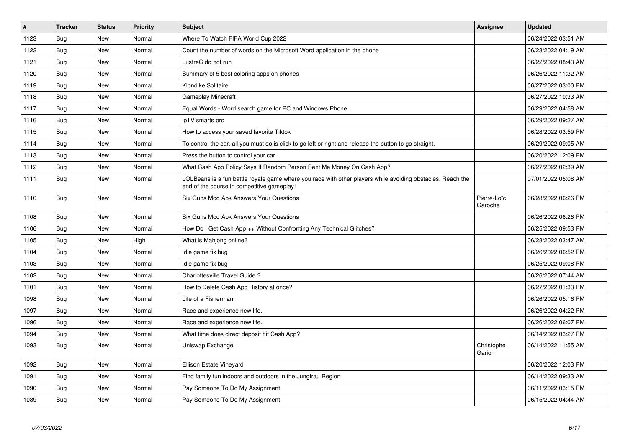| #    | <b>Tracker</b> | <b>Status</b> | <b>Priority</b> | <b>Subject</b>                                                                                                                                           | Assignee               | <b>Updated</b>      |
|------|----------------|---------------|-----------------|----------------------------------------------------------------------------------------------------------------------------------------------------------|------------------------|---------------------|
| 1123 | Bug            | New           | Normal          | Where To Watch FIFA World Cup 2022                                                                                                                       |                        | 06/24/2022 03:51 AM |
| 1122 | Bug            | New           | Normal          | Count the number of words on the Microsoft Word application in the phone                                                                                 |                        | 06/23/2022 04:19 AM |
| 1121 | Bug            | New           | Normal          | LustreC do not run                                                                                                                                       |                        | 06/22/2022 08:43 AM |
| 1120 | <b>Bug</b>     | New           | Normal          | Summary of 5 best coloring apps on phones                                                                                                                |                        | 06/26/2022 11:32 AM |
| 1119 | Bug            | New           | Normal          | <b>Klondike Solitaire</b>                                                                                                                                |                        | 06/27/2022 03:00 PM |
| 1118 | Bug            | New           | Normal          | <b>Gameplay Minecraft</b>                                                                                                                                |                        | 06/27/2022 10:33 AM |
| 1117 | Bug            | New           | Normal          | Equal Words - Word search game for PC and Windows Phone                                                                                                  |                        | 06/29/2022 04:58 AM |
| 1116 | Bug            | New           | Normal          | ipTV smarts pro                                                                                                                                          |                        | 06/29/2022 09:27 AM |
| 1115 | Bug            | New           | Normal          | How to access your saved favorite Tiktok                                                                                                                 |                        | 06/28/2022 03:59 PM |
| 1114 | Bug            | New           | Normal          | To control the car, all you must do is click to go left or right and release the button to go straight.                                                  |                        | 06/29/2022 09:05 AM |
| 1113 | Bug            | New           | Normal          | Press the button to control your car                                                                                                                     |                        | 06/20/2022 12:09 PM |
| 1112 | Bug            | <b>New</b>    | Normal          | What Cash App Policy Says If Random Person Sent Me Money On Cash App?                                                                                    |                        | 06/27/2022 02:39 AM |
| 1111 | Bug            | <b>New</b>    | Normal          | LOLBeans is a fun battle royale game where you race with other players while avoiding obstacles. Reach the<br>end of the course in competitive gameplay! |                        | 07/01/2022 05:08 AM |
| 1110 | <b>Bug</b>     | <b>New</b>    | Normal          | Six Guns Mod Apk Answers Your Questions                                                                                                                  | Pierre-Loïc<br>Garoche | 06/28/2022 06:26 PM |
| 1108 | Bug            | New           | Normal          | Six Guns Mod Apk Answers Your Questions                                                                                                                  |                        | 06/26/2022 06:26 PM |
| 1106 | Bug            | <b>New</b>    | Normal          | How Do I Get Cash App ++ Without Confronting Any Technical Glitches?                                                                                     |                        | 06/25/2022 09:53 PM |
| 1105 | <b>Bug</b>     | <b>New</b>    | High            | What is Mahjong online?                                                                                                                                  |                        | 06/28/2022 03:47 AM |
| 1104 | Bug            | New           | Normal          | Idle game fix bug                                                                                                                                        |                        | 06/26/2022 06:52 PM |
| 1103 | Bug            | <b>New</b>    | Normal          | Idle game fix bug                                                                                                                                        |                        | 06/25/2022 09:08 PM |
| 1102 | Bug            | <b>New</b>    | Normal          | Charlottesville Travel Guide?                                                                                                                            |                        | 06/26/2022 07:44 AM |
| 1101 | Bug            | <b>New</b>    | Normal          | How to Delete Cash App History at once?                                                                                                                  |                        | 06/27/2022 01:33 PM |
| 1098 | Bug            | New           | Normal          | Life of a Fisherman                                                                                                                                      |                        | 06/26/2022 05:16 PM |
| 1097 | <b>Bug</b>     | New           | Normal          | Race and experience new life.                                                                                                                            |                        | 06/26/2022 04:22 PM |
| 1096 | Bug            | New           | Normal          | Race and experience new life.                                                                                                                            |                        | 06/26/2022 06:07 PM |
| 1094 | <b>Bug</b>     | New           | Normal          | What time does direct deposit hit Cash App?                                                                                                              |                        | 06/14/2022 03:27 PM |
| 1093 | Bug            | New           | Normal          | Uniswap Exchange                                                                                                                                         | Christophe<br>Garion   | 06/14/2022 11:55 AM |
| 1092 | <b>Bug</b>     | New           | Normal          | Ellison Estate Vineyard                                                                                                                                  |                        | 06/20/2022 12:03 PM |
| 1091 | Bug            | New           | Normal          | Find family fun indoors and outdoors in the Jungfrau Region                                                                                              |                        | 06/14/2022 09:33 AM |
| 1090 | Bug            | New           | Normal          | Pay Someone To Do My Assignment                                                                                                                          |                        | 06/11/2022 03:15 PM |
| 1089 | Bug            | New           | Normal          | Pay Someone To Do My Assignment                                                                                                                          |                        | 06/15/2022 04:44 AM |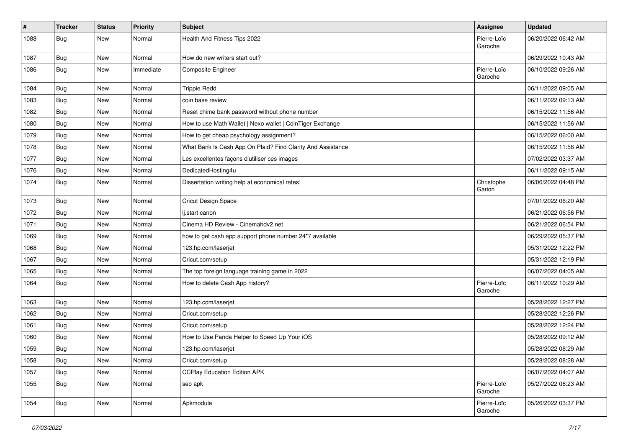| $\vert$ # | <b>Tracker</b> | <b>Status</b> | <b>Priority</b> | Subject                                                     | Assignee               | <b>Updated</b>      |
|-----------|----------------|---------------|-----------------|-------------------------------------------------------------|------------------------|---------------------|
| 1088      | <b>Bug</b>     | New           | Normal          | Health And Fitness Tips 2022                                | Pierre-Loïc<br>Garoche | 06/20/2022 06:42 AM |
| 1087      | <b>Bug</b>     | New           | Normal          | How do new writers start out?                               |                        | 06/29/2022 10:43 AM |
| 1086      | <b>Bug</b>     | New           | Immediate       | <b>Composite Engineer</b>                                   | Pierre-Loïc<br>Garoche | 06/10/2022 09:26 AM |
| 1084      | <b>Bug</b>     | <b>New</b>    | Normal          | <b>Trippie Redd</b>                                         |                        | 06/11/2022 09:05 AM |
| 1083      | <b>Bug</b>     | <b>New</b>    | Normal          | coin base review                                            |                        | 06/11/2022 09:13 AM |
| 1082      | <b>Bug</b>     | New           | Normal          | Reset chime bank password without phone number              |                        | 06/15/2022 11:56 AM |
| 1080      | <b>Bug</b>     | <b>New</b>    | Normal          | How to use Math Wallet   Nexo wallet   CoinTiger Exchange   |                        | 06/15/2022 11:56 AM |
| 1079      | Bug            | New           | Normal          | How to get cheap psychology assignment?                     |                        | 06/15/2022 06:00 AM |
| 1078      | <b>Bug</b>     | New           | Normal          | What Bank Is Cash App On Plaid? Find Clarity And Assistance |                        | 06/15/2022 11:56 AM |
| 1077      | <b>Bug</b>     | <b>New</b>    | Normal          | Les excellentes façons d'utiliser ces images                |                        | 07/02/2022 03:37 AM |
| 1076      | <b>Bug</b>     | <b>New</b>    | Normal          | DedicatedHosting4u                                          |                        | 06/11/2022 09:15 AM |
| 1074      | <b>Bug</b>     | New           | Normal          | Dissertation writing help at economical rates!              | Christophe<br>Garion   | 06/06/2022 04:48 PM |
| 1073      | <b>Bug</b>     | New           | Normal          | Cricut Design Space                                         |                        | 07/01/2022 06:20 AM |
| 1072      | <b>Bug</b>     | New           | Normal          | ij.start canon                                              |                        | 06/21/2022 06:56 PM |
| 1071      | Bug            | <b>New</b>    | Normal          | Cinema HD Review - Cinemahdv2.net                           |                        | 06/21/2022 06:54 PM |
| 1069      | <b>Bug</b>     | New           | Normal          | how to get cash app support phone number 24*7 available     |                        | 06/29/2022 05:37 PM |
| 1068      | <b>Bug</b>     | <b>New</b>    | Normal          | 123.hp.com/laserjet                                         |                        | 05/31/2022 12:22 PM |
| 1067      | <b>Bug</b>     | New           | Normal          | Cricut.com/setup                                            |                        | 05/31/2022 12:19 PM |
| 1065      | <b>Bug</b>     | New           | Normal          | The top foreign language training game in 2022              |                        | 06/07/2022 04:05 AM |
| 1064      | <b>Bug</b>     | New           | Normal          | How to delete Cash App history?                             | Pierre-Loïc<br>Garoche | 06/11/2022 10:29 AM |
| 1063      | <b>Bug</b>     | New           | Normal          | 123.hp.com/laserjet                                         |                        | 05/28/2022 12:27 PM |
| 1062      | <b>Bug</b>     | <b>New</b>    | Normal          | Cricut.com/setup                                            |                        | 05/28/2022 12:26 PM |
| 1061      | <b>Bug</b>     | New           | Normal          | Cricut.com/setup                                            |                        | 05/28/2022 12:24 PM |
| 1060      | <b>Bug</b>     | New           | Normal          | How to Use Panda Helper to Speed Up Your iOS                |                        | 05/28/2022 09:12 AM |
| 1059      | <b>Bug</b>     | New           | Normal          | 123.hp.com/laserjet                                         |                        | 05/28/2022 08:29 AM |
| 1058      | <b>Bug</b>     | New           | Normal          | Cricut.com/setup                                            |                        | 05/28/2022 08:28 AM |
| 1057      | <b>Bug</b>     | New           | Normal          | <b>CCPlay Education Edition APK</b>                         |                        | 06/07/2022 04:07 AM |
| 1055      | Bug            | New           | Normal          | seo apk                                                     | Pierre-Loïc<br>Garoche | 05/27/2022 06:23 AM |
| 1054      | <b>Bug</b>     | New           | Normal          | Apkmodule                                                   | Pierre-Loïc<br>Garoche | 05/26/2022 03:37 PM |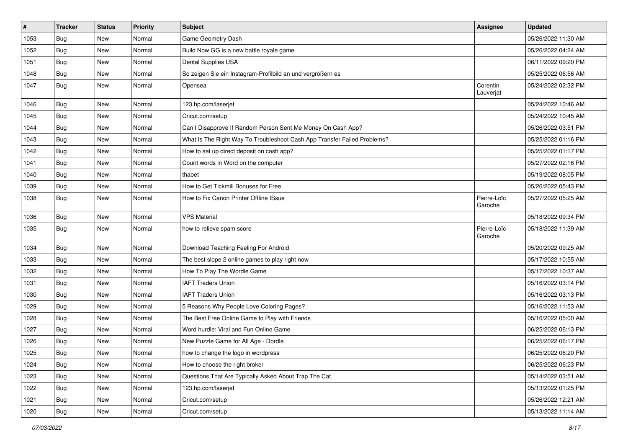| #    | <b>Tracker</b> | <b>Status</b> | <b>Priority</b> | Subject                                                                  | <b>Assignee</b>        | <b>Updated</b>      |
|------|----------------|---------------|-----------------|--------------------------------------------------------------------------|------------------------|---------------------|
| 1053 | Bug            | New           | Normal          | Game Geometry Dash                                                       |                        | 05/26/2022 11:30 AM |
| 1052 | Bug            | <b>New</b>    | Normal          | Build Now GG is a new battle royale game.                                |                        | 05/26/2022 04:24 AM |
| 1051 | <b>Bug</b>     | New           | Normal          | Dental Supplies USA                                                      |                        | 06/11/2022 09:20 PM |
| 1048 | Bug            | New           | Normal          | So zeigen Sie ein Instagram-Profilbild an und vergrößern es              |                        | 05/25/2022 06:56 AM |
| 1047 | Bug            | New           | Normal          | Opensea                                                                  | Corentin<br>Lauverjat  | 05/24/2022 02:32 PM |
| 1046 | Bug            | New           | Normal          | 123.hp.com/laserjet                                                      |                        | 05/24/2022 10:46 AM |
| 1045 | Bug            | New           | Normal          | Cricut.com/setup                                                         |                        | 05/24/2022 10:45 AM |
| 1044 | <b>Bug</b>     | New           | Normal          | Can I Disapprove If Random Person Sent Me Money On Cash App?             |                        | 05/26/2022 03:51 PM |
| 1043 | Bug            | New           | Normal          | What Is The Right Way To Troubleshoot Cash App Transfer Failed Problems? |                        | 05/25/2022 01:16 PM |
| 1042 | <b>Bug</b>     | New           | Normal          | How to set up direct deposit on cash app?                                |                        | 05/25/2022 01:17 PM |
| 1041 | <b>Bug</b>     | New           | Normal          | Count words in Word on the computer                                      |                        | 05/27/2022 02:16 PM |
| 1040 | Bug            | New           | Normal          | thabet                                                                   |                        | 05/19/2022 08:05 PM |
| 1039 | <b>Bug</b>     | New           | Normal          | How to Get Tickmill Bonuses for Free                                     |                        | 05/26/2022 05:43 PM |
| 1038 | Bug            | New           | Normal          | How to Fix Canon Printer Offline ISsue                                   | Pierre-Loïc<br>Garoche | 05/27/2022 05:25 AM |
| 1036 | Bug            | New           | Normal          | <b>VPS Material</b>                                                      |                        | 05/18/2022 09:34 PM |
| 1035 | Bug            | New           | Normal          | how to relieve spam score                                                | Pierre-Loïc<br>Garoche | 05/18/2022 11:39 AM |
| 1034 | Bug            | New           | Normal          | Download Teaching Feeling For Android                                    |                        | 05/20/2022 09:25 AM |
| 1033 | Bug            | New           | Normal          | The best slope 2 online games to play right now                          |                        | 05/17/2022 10:55 AM |
| 1032 | <b>Bug</b>     | New           | Normal          | How To Play The Wordle Game                                              |                        | 05/17/2022 10:37 AM |
| 1031 | Bug            | New           | Normal          | <b>IAFT Traders Union</b>                                                |                        | 05/16/2022 03:14 PM |
| 1030 | <b>Bug</b>     | New           | Normal          | <b>IAFT Traders Union</b>                                                |                        | 05/16/2022 03:13 PM |
| 1029 | <b>Bug</b>     | New           | Normal          | 5 Reasons Why People Love Coloring Pages?                                |                        | 05/16/2022 11:53 AM |
| 1028 | <b>Bug</b>     | New           | Normal          | The Best Free Online Game to Play with Friends                           |                        | 05/16/2022 05:00 AM |
| 1027 | Bug            | New           | Normal          | Word hurdle: Viral and Fun Online Game                                   |                        | 06/25/2022 06:13 PM |
| 1026 | <b>Bug</b>     | New           | Normal          | New Puzzle Game for All Age - Dordle                                     |                        | 06/25/2022 06:17 PM |
| 1025 | Bug            | New           | Normal          | how to change the logo in wordpress                                      |                        | 06/25/2022 06:20 PM |
| 1024 | <b>Bug</b>     | New           | Normal          | How to choose the right broker                                           |                        | 06/25/2022 06:23 PM |
| 1023 | Bug            | New           | Normal          | Questions That Are Typically Asked About Trap The Cat                    |                        | 05/14/2022 03:51 AM |
| 1022 | <b>Bug</b>     | New           | Normal          | 123.hp.com/laserjet                                                      |                        | 05/13/2022 01:25 PM |
| 1021 | <b>Bug</b>     | New           | Normal          | Cricut.com/setup                                                         |                        | 05/26/2022 12:21 AM |
| 1020 | <b>Bug</b>     | New           | Normal          | Cricut.com/setup                                                         |                        | 05/13/2022 11:14 AM |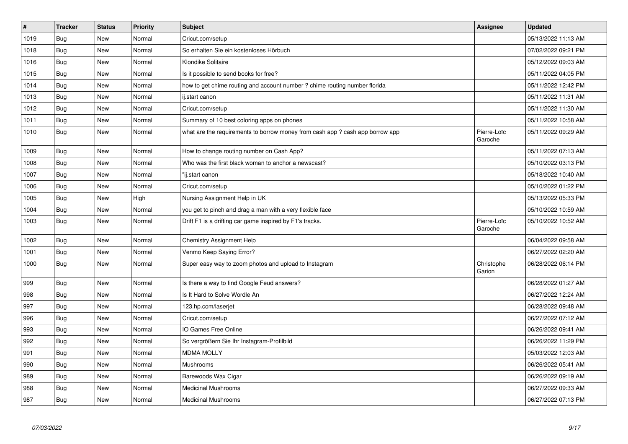| $\pmb{\#}$ | <b>Tracker</b> | <b>Status</b> | <b>Priority</b> | <b>Subject</b>                                                               | Assignee               | <b>Updated</b>      |
|------------|----------------|---------------|-----------------|------------------------------------------------------------------------------|------------------------|---------------------|
| 1019       | Bug            | <b>New</b>    | Normal          | Cricut.com/setup                                                             |                        | 05/13/2022 11:13 AM |
| 1018       | Bug            | <b>New</b>    | Normal          | So erhalten Sie ein kostenloses Hörbuch                                      |                        | 07/02/2022 09:21 PM |
| 1016       | <b>Bug</b>     | <b>New</b>    | Normal          | Klondike Solitaire                                                           |                        | 05/12/2022 09:03 AM |
| 1015       | Bug            | New           | Normal          | Is it possible to send books for free?                                       |                        | 05/11/2022 04:05 PM |
| 1014       | <b>Bug</b>     | New           | Normal          | how to get chime routing and account number ? chime routing number florida   |                        | 05/11/2022 12:42 PM |
| 1013       | <b>Bug</b>     | <b>New</b>    | Normal          | ij.start canon                                                               |                        | 05/11/2022 11:31 AM |
| 1012       | Bug            | New           | Normal          | Cricut.com/setup                                                             |                        | 05/11/2022 11:30 AM |
| 1011       | Bug            | <b>New</b>    | Normal          | Summary of 10 best coloring apps on phones                                   |                        | 05/11/2022 10:58 AM |
| 1010       | Bug            | New           | Normal          | what are the requirements to borrow money from cash app? cash app borrow app | Pierre-Loïc<br>Garoche | 05/11/2022 09:29 AM |
| 1009       | Bug            | New           | Normal          | How to change routing number on Cash App?                                    |                        | 05/11/2022 07:13 AM |
| 1008       | Bug            | <b>New</b>    | Normal          | Who was the first black woman to anchor a newscast?                          |                        | 05/10/2022 03:13 PM |
| 1007       | Bug            | <b>New</b>    | Normal          | "ij.start canon                                                              |                        | 05/18/2022 10:40 AM |
| 1006       | <b>Bug</b>     | New           | Normal          | Cricut.com/setup                                                             |                        | 05/10/2022 01:22 PM |
| 1005       | <b>Bug</b>     | New           | High            | Nursing Assignment Help in UK                                                |                        | 05/13/2022 05:33 PM |
| 1004       | Bug            | <b>New</b>    | Normal          | you get to pinch and drag a man with a very flexible face                    |                        | 05/10/2022 10:59 AM |
| 1003       | <b>Bug</b>     | New           | Normal          | Drift F1 is a drifting car game inspired by F1's tracks.                     | Pierre-Loïc<br>Garoche | 05/10/2022 10:52 AM |
| 1002       | <b>Bug</b>     | New           | Normal          | Chemistry Assignment Help                                                    |                        | 06/04/2022 09:58 AM |
| 1001       | Bug            | New           | Normal          | Venmo Keep Saying Error?                                                     |                        | 06/27/2022 02:20 AM |
| 1000       | Bug            | New           | Normal          | Super easy way to zoom photos and upload to Instagram                        | Christophe<br>Garion   | 06/28/2022 06:14 PM |
| 999        | <b>Bug</b>     | <b>New</b>    | Normal          | Is there a way to find Google Feud answers?                                  |                        | 06/28/2022 01:27 AM |
| 998        | <b>Bug</b>     | New           | Normal          | Is It Hard to Solve Wordle An                                                |                        | 06/27/2022 12:24 AM |
| 997        | <b>Bug</b>     | New           | Normal          | 123.hp.com/laserjet                                                          |                        | 06/28/2022 09:48 AM |
| 996        | <b>Bug</b>     | New           | Normal          | Cricut.com/setup                                                             |                        | 06/27/2022 07:12 AM |
| 993        | Bug            | New           | Normal          | IO Games Free Online                                                         |                        | 06/26/2022 09:41 AM |
| 992        | <b>Bug</b>     | New           | Normal          | So vergrößern Sie Ihr Instagram-Profilbild                                   |                        | 06/26/2022 11:29 PM |
| 991        | Bug            | <b>New</b>    | Normal          | <b>MDMA MOLLY</b>                                                            |                        | 05/03/2022 12:03 AM |
| 990        | Bug            | <b>New</b>    | Normal          | Mushrooms                                                                    |                        | 06/26/2022 05:41 AM |
| 989        | <b>Bug</b>     | New           | Normal          | Barewoods Wax Cigar                                                          |                        | 06/26/2022 09:19 AM |
| 988        | <b>Bug</b>     | <b>New</b>    | Normal          | <b>Medicinal Mushrooms</b>                                                   |                        | 06/27/2022 09:33 AM |
| 987        | Bug            | <b>New</b>    | Normal          | <b>Medicinal Mushrooms</b>                                                   |                        | 06/27/2022 07:13 PM |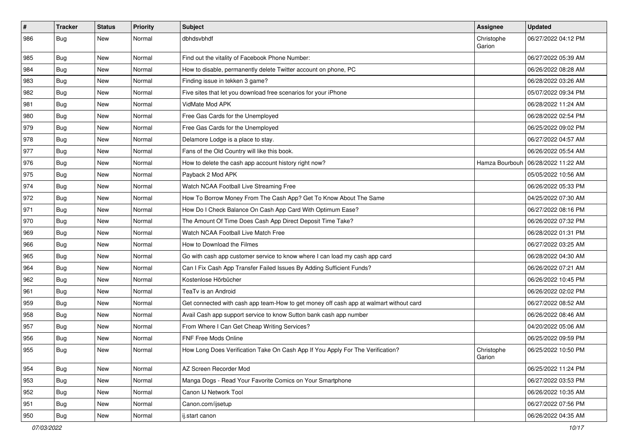| $\vert$ # | <b>Tracker</b> | <b>Status</b> | <b>Priority</b> | Subject                                                                                | <b>Assignee</b>      | <b>Updated</b>      |
|-----------|----------------|---------------|-----------------|----------------------------------------------------------------------------------------|----------------------|---------------------|
| 986       | <b>Bug</b>     | New           | Normal          | dbhdsvbhdf                                                                             | Christophe<br>Garion | 06/27/2022 04:12 PM |
| 985       | Bug            | New           | Normal          | Find out the vitality of Facebook Phone Number:                                        |                      | 06/27/2022 05:39 AM |
| 984       | Bug            | New           | Normal          | How to disable, permanently delete Twitter account on phone, PC                        |                      | 06/26/2022 08:28 AM |
| 983       | Bug            | New           | Normal          | Finding issue in tekken 3 game?                                                        |                      | 06/28/2022 03:26 AM |
| 982       | <b>Bug</b>     | New           | Normal          | Five sites that let you download free scenarios for your iPhone                        |                      | 05/07/2022 09:34 PM |
| 981       | Bug            | New           | Normal          | VidMate Mod APK                                                                        |                      | 06/28/2022 11:24 AM |
| 980       | Bug            | New           | Normal          | Free Gas Cards for the Unemployed                                                      |                      | 06/28/2022 02:54 PM |
| 979       | Bug            | New           | Normal          | Free Gas Cards for the Unemployed                                                      |                      | 06/25/2022 09:02 PM |
| 978       | Bug            | New           | Normal          | Delamore Lodge is a place to stay.                                                     |                      | 06/27/2022 04:57 AM |
| 977       | Bug            | New           | Normal          | Fans of the Old Country will like this book.                                           |                      | 06/26/2022 05:54 AM |
| 976       | <b>Bug</b>     | New           | Normal          | How to delete the cash app account history right now?                                  | Hamza Bourbouh       | 06/28/2022 11:22 AM |
| 975       | Bug            | New           | Normal          | Payback 2 Mod APK                                                                      |                      | 05/05/2022 10:56 AM |
| 974       | <b>Bug</b>     | New           | Normal          | Watch NCAA Football Live Streaming Free                                                |                      | 06/26/2022 05:33 PM |
| 972       | <b>Bug</b>     | New           | Normal          | How To Borrow Money From The Cash App? Get To Know About The Same                      |                      | 04/25/2022 07:30 AM |
| 971       | <b>Bug</b>     | New           | Normal          | How Do I Check Balance On Cash App Card With Optimum Ease?                             |                      | 06/27/2022 08:16 PM |
| 970       | <b>Bug</b>     | New           | Normal          | The Amount Of Time Does Cash App Direct Deposit Time Take?                             |                      | 06/26/2022 07:32 PM |
| 969       | Bug            | New           | Normal          | Watch NCAA Football Live Match Free                                                    |                      | 06/28/2022 01:31 PM |
| 966       | <b>Bug</b>     | New           | Normal          | How to Download the Filmes                                                             |                      | 06/27/2022 03:25 AM |
| 965       | Bug            | New           | Normal          | Go with cash app customer service to know where I can load my cash app card            |                      | 06/28/2022 04:30 AM |
| 964       | Bug            | New           | Normal          | Can I Fix Cash App Transfer Failed Issues By Adding Sufficient Funds?                  |                      | 06/26/2022 07:21 AM |
| 962       | <b>Bug</b>     | New           | Normal          | Kostenlose Hörbücher                                                                   |                      | 06/26/2022 10:45 PM |
| 961       | Bug            | New           | Normal          | TeaTv is an Android                                                                    |                      | 06/26/2022 02:02 PM |
| 959       | <b>Bug</b>     | New           | Normal          | Get connected with cash app team-How to get money off cash app at walmart without card |                      | 06/27/2022 08:52 AM |
| 958       | Bug            | New           | Normal          | Avail Cash app support service to know Sutton bank cash app number                     |                      | 06/26/2022 08:46 AM |
| 957       | <b>Bug</b>     | New           | Normal          | From Where I Can Get Cheap Writing Services?                                           |                      | 04/20/2022 05:06 AM |
| 956       | Bug            | New           | Normal          | FNF Free Mods Online                                                                   |                      | 06/25/2022 09:59 PM |
| 955       | <b>Bug</b>     | New           | Normal          | How Long Does Verification Take On Cash App If You Apply For The Verification?         | Christophe<br>Garion | 06/25/2022 10:50 PM |
| 954       | Bug            | New           | Normal          | AZ Screen Recorder Mod                                                                 |                      | 06/25/2022 11:24 PM |
| 953       | <b>Bug</b>     | New           | Normal          | Manga Dogs - Read Your Favorite Comics on Your Smartphone                              |                      | 06/27/2022 03:53 PM |
| 952       | Bug            | New           | Normal          | Canon IJ Network Tool                                                                  |                      | 06/26/2022 10:35 AM |
| 951       | Bug            | New           | Normal          | Canon.com/ijsetup                                                                      |                      | 06/27/2022 07:56 PM |
| 950       | <b>Bug</b>     | New           | Normal          | ij.start canon                                                                         |                      | 06/26/2022 04:35 AM |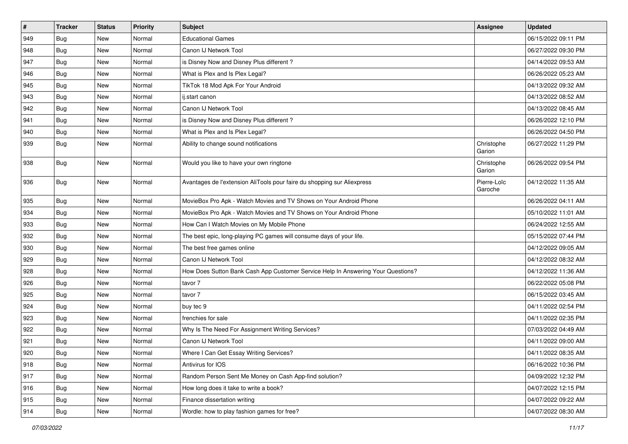| #             | <b>Tracker</b> | <b>Status</b> | <b>Priority</b> | <b>Subject</b>                                                                   | <b>Assignee</b>        | <b>Updated</b>      |
|---------------|----------------|---------------|-----------------|----------------------------------------------------------------------------------|------------------------|---------------------|
| 949           | <b>Bug</b>     | New           | Normal          | <b>Educational Games</b>                                                         |                        | 06/15/2022 09:11 PM |
| 948           | <b>Bug</b>     | <b>New</b>    | Normal          | Canon IJ Network Tool                                                            |                        | 06/27/2022 09:30 PM |
| 947           | Bug            | New           | Normal          | is Disney Now and Disney Plus different?                                         |                        | 04/14/2022 09:53 AM |
| 946           | <b>Bug</b>     | New           | Normal          | What is Plex and Is Plex Legal?                                                  |                        | 06/26/2022 05:23 AM |
| 945           | <b>Bug</b>     | <b>New</b>    | Normal          | TikTok 18 Mod Apk For Your Android                                               |                        | 04/13/2022 09:32 AM |
| 943           | Bug            | New           | Normal          | ii.start canon                                                                   |                        | 04/13/2022 08:52 AM |
| 942           | Bug            | New           | Normal          | Canon IJ Network Tool                                                            |                        | 04/13/2022 08:45 AM |
| 941           | <b>Bug</b>     | New           | Normal          | is Disney Now and Disney Plus different?                                         |                        | 06/26/2022 12:10 PM |
| 940           | Bug            | New           | Normal          | What is Plex and Is Plex Legal?                                                  |                        | 06/26/2022 04:50 PM |
| 939           | <b>Bug</b>     | New           | Normal          | Ability to change sound notifications                                            | Christophe<br>Garion   | 06/27/2022 11:29 PM |
| 938           | <b>Bug</b>     | New           | Normal          | Would you like to have your own ringtone                                         | Christophe<br>Garion   | 06/26/2022 09:54 PM |
| 936           | <b>Bug</b>     | New           | Normal          | Avantages de l'extension AliTools pour faire du shopping sur Aliexpress          | Pierre-Loïc<br>Garoche | 04/12/2022 11:35 AM |
| 935           | Bug            | <b>New</b>    | Normal          | MovieBox Pro Apk - Watch Movies and TV Shows on Your Android Phone               |                        | 06/26/2022 04:11 AM |
| 934           | Bug            | New           | Normal          | MovieBox Pro Apk - Watch Movies and TV Shows on Your Android Phone               |                        | 05/10/2022 11:01 AM |
| 933           | Bug            | New           | Normal          | How Can I Watch Movies on My Mobile Phone                                        |                        | 06/24/2022 12:55 AM |
| 932           | <b>Bug</b>     | New           | Normal          | The best epic, long-playing PC games will consume days of your life.             |                        | 05/15/2022 07:44 PM |
| 930           | <b>Bug</b>     | New           | Normal          | The best free games online                                                       |                        | 04/12/2022 09:05 AM |
| 929           | Bug            | <b>New</b>    | Normal          | Canon IJ Network Tool                                                            |                        | 04/12/2022 08:32 AM |
| 928           | <b>Bug</b>     | New           | Normal          | How Does Sutton Bank Cash App Customer Service Help In Answering Your Questions? |                        | 04/12/2022 11:36 AM |
| 926           | <b>Bug</b>     | New           | Normal          | tavor 7                                                                          |                        | 06/22/2022 05:08 PM |
| 925           | Bug            | New           | Normal          | tavor 7                                                                          |                        | 06/15/2022 03:45 AM |
| 924           | <b>Bug</b>     | New           | Normal          | buy tec 9                                                                        |                        | 04/11/2022 02:54 PM |
| 923           | Bug            | <b>New</b>    | Normal          | frenchies for sale                                                               |                        | 04/11/2022 02:35 PM |
| 922           | <b>Bug</b>     | New           | Normal          | Why Is The Need For Assignment Writing Services?                                 |                        | 07/03/2022 04:49 AM |
| 921           | <b>Bug</b>     | New           | Normal          | Canon IJ Network Tool                                                            |                        | 04/11/2022 09:00 AM |
| $ 920\rangle$ | Bug            | New           | Normal          | Where I Can Get Essay Writing Services?                                          |                        | 04/11/2022 08:35 AM |
| 918           | <b>Bug</b>     | New           | Normal          | Antivirus for IOS                                                                |                        | 06/16/2022 10:36 PM |
| $ 917\rangle$ | <b>Bug</b>     | <b>New</b>    | Normal          | Random Person Sent Me Money on Cash App-find solution?                           |                        | 04/09/2022 12:32 PM |
| 916           | Bug            | New           | Normal          | How long does it take to write a book?                                           |                        | 04/07/2022 12:15 PM |
| 915           | Bug            | New           | Normal          | Finance dissertation writing                                                     |                        | 04/07/2022 09:22 AM |
| 914           | <b>Bug</b>     | New           | Normal          | Wordle: how to play fashion games for free?                                      |                        | 04/07/2022 08:30 AM |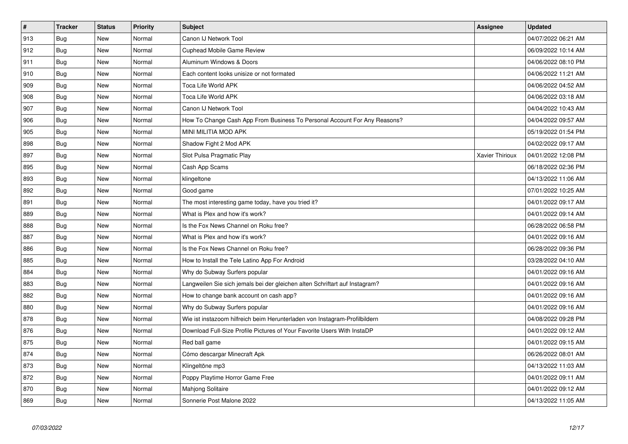| $\vert$ # | <b>Tracker</b> | <b>Status</b> | Priority | <b>Subject</b>                                                              | Assignee               | <b>Updated</b>      |
|-----------|----------------|---------------|----------|-----------------------------------------------------------------------------|------------------------|---------------------|
| 913       | Bug            | <b>New</b>    | Normal   | Canon IJ Network Tool                                                       |                        | 04/07/2022 06:21 AM |
| 912       | <b>Bug</b>     | <b>New</b>    | Normal   | <b>Cuphead Mobile Game Review</b>                                           |                        | 06/09/2022 10:14 AM |
| 911       | <b>Bug</b>     | New           | Normal   | Aluminum Windows & Doors                                                    |                        | 04/06/2022 08:10 PM |
| 910       | <b>Bug</b>     | <b>New</b>    | Normal   | Each content looks unisize or not formated                                  |                        | 04/06/2022 11:21 AM |
| 909       | Bug            | New           | Normal   | Toca Life World APK                                                         |                        | 04/06/2022 04:52 AM |
| 908       | <b>Bug</b>     | New           | Normal   | Toca Life World APK                                                         |                        | 04/06/2022 03:18 AM |
| 907       | Bug            | New           | Normal   | Canon IJ Network Tool                                                       |                        | 04/04/2022 10:43 AM |
| 906       | Bug            | New           | Normal   | How To Change Cash App From Business To Personal Account For Any Reasons?   |                        | 04/04/2022 09:57 AM |
| 905       | <b>Bug</b>     | New           | Normal   | <b>MINI MILITIA MOD APK</b>                                                 |                        | 05/19/2022 01:54 PM |
| 898       | <b>Bug</b>     | New           | Normal   | Shadow Fight 2 Mod APK                                                      |                        | 04/02/2022 09:17 AM |
| 897       | <b>Bug</b>     | New           | Normal   | Slot Pulsa Pragmatic Play                                                   | <b>Xavier Thirioux</b> | 04/01/2022 12:08 PM |
| 895       | Bug            | New           | Normal   | Cash App Scams                                                              |                        | 06/18/2022 02:36 PM |
| 893       | <b>Bug</b>     | New           | Normal   | klingeltone                                                                 |                        | 04/13/2022 11:06 AM |
| 892       | Bug            | New           | Normal   | Good game                                                                   |                        | 07/01/2022 10:25 AM |
| 891       | <b>Bug</b>     | New           | Normal   | The most interesting game today, have you tried it?                         |                        | 04/01/2022 09:17 AM |
| 889       | <b>Bug</b>     | New           | Normal   | What is Plex and how it's work?                                             |                        | 04/01/2022 09:14 AM |
| 888       | <b>Bug</b>     | <b>New</b>    | Normal   | Is the Fox News Channel on Roku free?                                       |                        | 06/28/2022 06:58 PM |
| 887       | <b>Bug</b>     | New           | Normal   | What is Plex and how it's work?                                             |                        | 04/01/2022 09:16 AM |
| 886       | Bug            | New           | Normal   | Is the Fox News Channel on Roku free?                                       |                        | 06/28/2022 09:36 PM |
| 885       | Bug            | <b>New</b>    | Normal   | How to Install the Tele Latino App For Android                              |                        | 03/28/2022 04:10 AM |
| 884       | <b>Bug</b>     | <b>New</b>    | Normal   | Why do Subway Surfers popular                                               |                        | 04/01/2022 09:16 AM |
| 883       | Bug            | New           | Normal   | Langweilen Sie sich jemals bei der gleichen alten Schriftart auf Instagram? |                        | 04/01/2022 09:16 AM |
| 882       | <b>Bug</b>     | <b>New</b>    | Normal   | How to change bank account on cash app?                                     |                        | 04/01/2022 09:16 AM |
| 880       | Bug            | <b>New</b>    | Normal   | Why do Subway Surfers popular                                               |                        | 04/01/2022 09:16 AM |
| 878       | <b>Bug</b>     | <b>New</b>    | Normal   | Wie ist instazoom hilfreich beim Herunterladen von Instagram-Profilbildern  |                        | 04/08/2022 09:28 PM |
| 876       | Bug            | New           | Normal   | Download Full-Size Profile Pictures of Your Favorite Users With InstaDP     |                        | 04/01/2022 09:12 AM |
| 875       | Bug            | New           | Normal   | Red ball game                                                               |                        | 04/01/2022 09:15 AM |
| 874       | <b>Bug</b>     | New           | Normal   | Cómo descargar Minecraft Apk                                                |                        | 06/26/2022 08:01 AM |
| 873       | <b>Bug</b>     | New           | Normal   | Klingeltöne mp3                                                             |                        | 04/13/2022 11:03 AM |
| 872       | <b>Bug</b>     | New           | Normal   | Poppy Playtime Horror Game Free                                             |                        | 04/01/2022 09:11 AM |
| 870       | Bug            | New           | Normal   | Mahjong Solitaire                                                           |                        | 04/01/2022 09:12 AM |
| 869       | Bug            | New           | Normal   | Sonnerie Post Malone 2022                                                   |                        | 04/13/2022 11:05 AM |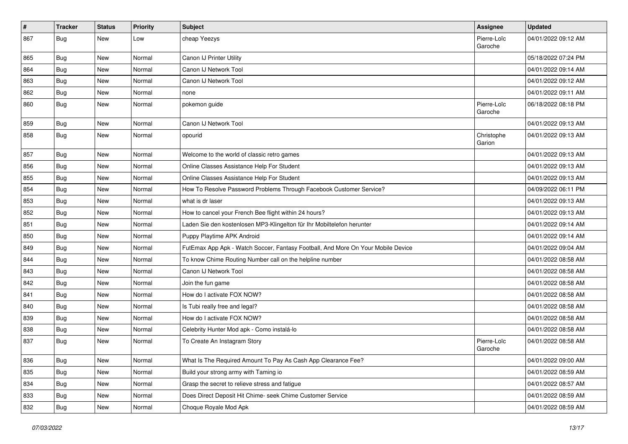| $\pmb{\#}$ | <b>Tracker</b> | <b>Status</b> | <b>Priority</b> | Subject                                                                          | Assignee               | <b>Updated</b>      |
|------------|----------------|---------------|-----------------|----------------------------------------------------------------------------------|------------------------|---------------------|
| 867        | Bug            | New           | Low             | cheap Yeezys                                                                     | Pierre-Loïc<br>Garoche | 04/01/2022 09:12 AM |
| 865        | Bug            | New           | Normal          | Canon IJ Printer Utility                                                         |                        | 05/18/2022 07:24 PM |
| 864        | <b>Bug</b>     | New           | Normal          | Canon IJ Network Tool                                                            |                        | 04/01/2022 09:14 AM |
| 863        | Bug            | <b>New</b>    | Normal          | Canon IJ Network Tool                                                            |                        | 04/01/2022 09:12 AM |
| 862        | <b>Bug</b>     | New           | Normal          | none                                                                             |                        | 04/01/2022 09:11 AM |
| 860        | Bug            | New           | Normal          | pokemon guide                                                                    | Pierre-Loïc<br>Garoche | 06/18/2022 08:18 PM |
| 859        | Bug            | <b>New</b>    | Normal          | Canon IJ Network Tool                                                            |                        | 04/01/2022 09:13 AM |
| 858        | Bug            | New           | Normal          | opourid                                                                          | Christophe<br>Garion   | 04/01/2022 09:13 AM |
| 857        | Bug            | New           | Normal          | Welcome to the world of classic retro games                                      |                        | 04/01/2022 09:13 AM |
| 856        | Bug            | <b>New</b>    | Normal          | Online Classes Assistance Help For Student                                       |                        | 04/01/2022 09:13 AM |
| 855        | Bug            | New           | Normal          | Online Classes Assistance Help For Student                                       |                        | 04/01/2022 09:13 AM |
| 854        | Bug            | New           | Normal          | How To Resolve Password Problems Through Facebook Customer Service?              |                        | 04/09/2022 06:11 PM |
| 853        | Bug            | New           | Normal          | what is dr laser                                                                 |                        | 04/01/2022 09:13 AM |
| 852        | Bug            | New           | Normal          | How to cancel your French Bee flight within 24 hours?                            |                        | 04/01/2022 09:13 AM |
| 851        | Bug            | <b>New</b>    | Normal          | Laden Sie den kostenlosen MP3-Klingelton für Ihr Mobiltelefon herunter           |                        | 04/01/2022 09:14 AM |
| 850        | Bug            | New           | Normal          | Puppy Playtime APK Android                                                       |                        | 04/01/2022 09:14 AM |
| 849        | Bug            | New           | Normal          | FutEmax App Apk - Watch Soccer, Fantasy Football, And More On Your Mobile Device |                        | 04/01/2022 09:04 AM |
| 844        | Bug            | New           | Normal          | To know Chime Routing Number call on the helpline number                         |                        | 04/01/2022 08:58 AM |
| 843        | Bug            | <b>New</b>    | Normal          | Canon IJ Network Tool                                                            |                        | 04/01/2022 08:58 AM |
| 842        | Bug            | New           | Normal          | Join the fun game                                                                |                        | 04/01/2022 08:58 AM |
| 841        | Bug            | New           | Normal          | How do I activate FOX NOW?                                                       |                        | 04/01/2022 08:58 AM |
| 840        | <b>Bug</b>     | New           | Normal          | Is Tubi really free and legal?                                                   |                        | 04/01/2022 08:58 AM |
| 839        | <b>Bug</b>     | New           | Normal          | How do I activate FOX NOW?                                                       |                        | 04/01/2022 08:58 AM |
| 838        | Bug            | New           | Normal          | Celebrity Hunter Mod apk - Como instalá-lo                                       |                        | 04/01/2022 08:58 AM |
| 837        | Bug            | New           | Normal          | To Create An Instagram Story                                                     | Pierre-Loïc<br>Garoche | 04/01/2022 08:58 AM |
| 836        | <b>Bug</b>     | New           | Normal          | What Is The Required Amount To Pay As Cash App Clearance Fee?                    |                        | 04/01/2022 09:00 AM |
| 835        | Bug            | New           | Normal          | Build your strong army with Taming io                                            |                        | 04/01/2022 08:59 AM |
| 834        | <b>Bug</b>     | New           | Normal          | Grasp the secret to relieve stress and fatigue                                   |                        | 04/01/2022 08:57 AM |
| 833        | Bug            | New           | Normal          | Does Direct Deposit Hit Chime- seek Chime Customer Service                       |                        | 04/01/2022 08:59 AM |
| 832        | Bug            | New           | Normal          | Choque Royale Mod Apk                                                            |                        | 04/01/2022 08:59 AM |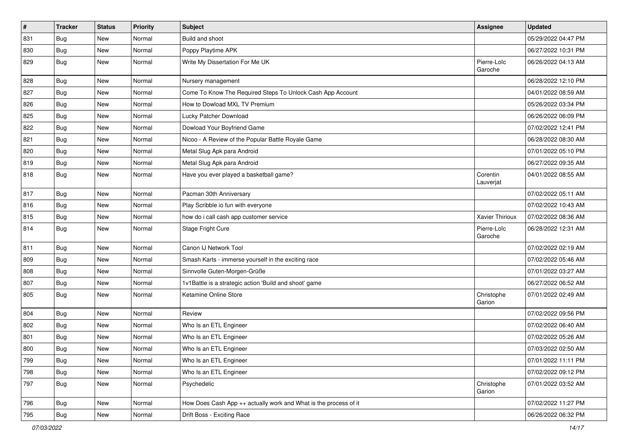| $\vert$ # | <b>Tracker</b> | <b>Status</b> | <b>Priority</b> | <b>Subject</b>                                                   | <b>Assignee</b>        | <b>Updated</b>      |
|-----------|----------------|---------------|-----------------|------------------------------------------------------------------|------------------------|---------------------|
| 831       | <b>Bug</b>     | New           | Normal          | Build and shoot                                                  |                        | 05/29/2022 04:47 PM |
| 830       | <b>Bug</b>     | New           | Normal          | Poppy Playtime APK                                               |                        | 06/27/2022 10:31 PM |
| 829       | Bug            | New           | Normal          | Write My Dissertation For Me UK                                  | Pierre-Loïc<br>Garoche | 06/26/2022 04:13 AM |
| 828       | Bug            | New           | Normal          | Nursery management                                               |                        | 06/28/2022 12:10 PM |
| 827       | <b>Bug</b>     | New           | Normal          | Come To Know The Required Steps To Unlock Cash App Account       |                        | 04/01/2022 08:59 AM |
| 826       | Bug            | New           | Normal          | How to Dowload MXL TV Premium                                    |                        | 05/26/2022 03:34 PM |
| 825       | Bug            | New           | Normal          | Lucky Patcher Download                                           |                        | 06/26/2022 06:09 PM |
| 822       | <b>Bug</b>     | New           | Normal          | Dowload Your Boyfriend Game                                      |                        | 07/02/2022 12:41 PM |
| 821       | <b>Bug</b>     | <b>New</b>    | Normal          | Nicoo - A Review of the Popular Battle Royale Game               |                        | 06/28/2022 08:30 AM |
| 820       | Bug            | New           | Normal          | Metal Slug Apk para Android                                      |                        | 07/01/2022 05:10 PM |
| 819       | Bug            | <b>New</b>    | Normal          | Metal Slug Apk para Android                                      |                        | 06/27/2022 09:35 AM |
| 818       | <b>Bug</b>     | New           | Normal          | Have you ever played a basketball game?                          | Corentin<br>Lauverjat  | 04/01/2022 08:55 AM |
| 817       | Bug            | New           | Normal          | Pacman 30th Anniversary                                          |                        | 07/02/2022 05:11 AM |
| 816       | Bug            | New           | Normal          | Play Scribble io fun with everyone                               |                        | 07/02/2022 10:43 AM |
| 815       | <b>Bug</b>     | New           | Normal          | how do i call cash app customer service                          | Xavier Thirioux        | 07/02/2022 08:36 AM |
| 814       | <b>Bug</b>     | New           | Normal          | Stage Fright Cure                                                | Pierre-Loïc<br>Garoche | 06/28/2022 12:31 AM |
| 811       | <b>Bug</b>     | <b>New</b>    | Normal          | Canon IJ Network Tool                                            |                        | 07/02/2022 02:19 AM |
| 809       | Bug            | New           | Normal          | Smash Karts - immerse yourself in the exciting race              |                        | 07/02/2022 05:46 AM |
| 808       | <b>Bug</b>     | New           | Normal          | Sinnvolle Guten-Morgen-Grüße                                     |                        | 07/01/2022 03:27 AM |
| 807       | <b>Bug</b>     | New           | Normal          | 1v1Battle is a strategic action 'Build and shoot' game           |                        | 06/27/2022 06:52 AM |
| 805       | Bug            | New           | Normal          | Ketamine Online Store                                            | Christophe<br>Garion   | 07/01/2022 02:49 AM |
| 804       | Bug            | New           | Normal          | Review                                                           |                        | 07/02/2022 09:56 PM |
| 802       | <b>Bug</b>     | New           | Normal          | Who Is an ETL Engineer                                           |                        | 07/02/2022 06:40 AM |
| 801       | <b>Bug</b>     | New           | Normal          | Who Is an ETL Engineer                                           |                        | 07/02/2022 05:26 AM |
| 800       | <b>Bug</b>     | New           | Normal          | Who Is an ETL Engineer                                           |                        | 07/03/2022 02:50 AM |
| 799       | <b>Bug</b>     | New           | Normal          | Who Is an ETL Engineer                                           |                        | 07/01/2022 11:11 PM |
| 798       | <b>Bug</b>     | New           | Normal          | Who Is an ETL Engineer                                           |                        | 07/02/2022 09:12 PM |
| 797       | Bug            | New           | Normal          | Psychedelic                                                      | Christophe<br>Garion   | 07/01/2022 03:52 AM |
| 796       | <b>Bug</b>     | New           | Normal          | How Does Cash App ++ actually work and What is the process of it |                        | 07/02/2022 11:27 PM |
| 795       | <b>Bug</b>     | New           | Normal          | Drift Boss - Exciting Race                                       |                        | 06/26/2022 06:32 PM |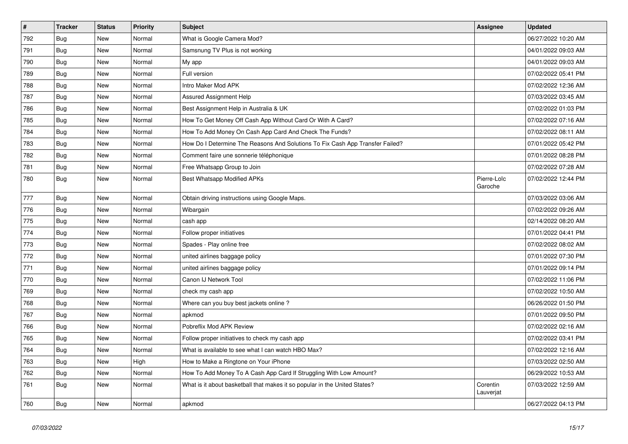| $\vert$ # | <b>Tracker</b> | <b>Status</b> | <b>Priority</b> | Subject                                                                       | Assignee               | <b>Updated</b>      |
|-----------|----------------|---------------|-----------------|-------------------------------------------------------------------------------|------------------------|---------------------|
| 792       | Bug            | <b>New</b>    | Normal          | What is Google Camera Mod?                                                    |                        | 06/27/2022 10:20 AM |
| 791       | <b>Bug</b>     | <b>New</b>    | Normal          | Samsnung TV Plus is not working                                               |                        | 04/01/2022 09:03 AM |
| 790       | Bug            | New           | Normal          | My app                                                                        |                        | 04/01/2022 09:03 AM |
| 789       | Bug            | New           | Normal          | Full version                                                                  |                        | 07/02/2022 05:41 PM |
| 788       | Bug            | New           | Normal          | Intro Maker Mod APK                                                           |                        | 07/02/2022 12:36 AM |
| 787       | Bug            | New           | Normal          | <b>Assured Assignment Help</b>                                                |                        | 07/03/2022 03:45 AM |
| 786       | Bug            | New           | Normal          | Best Assignment Help in Australia & UK                                        |                        | 07/02/2022 01:03 PM |
| 785       | Bug            | New           | Normal          | How To Get Money Off Cash App Without Card Or With A Card?                    |                        | 07/02/2022 07:16 AM |
| 784       | Bug            | New           | Normal          | How To Add Money On Cash App Card And Check The Funds?                        |                        | 07/02/2022 08:11 AM |
| 783       | <b>Bug</b>     | <b>New</b>    | Normal          | How Do I Determine The Reasons And Solutions To Fix Cash App Transfer Failed? |                        | 07/01/2022 05:42 PM |
| 782       | <b>Bug</b>     | New           | Normal          | Comment faire une sonnerie téléphonique                                       |                        | 07/01/2022 08:28 PM |
| 781       | <b>Bug</b>     | New           | Normal          | Free Whatsapp Group to Join                                                   |                        | 07/02/2022 07:28 AM |
| 780       | Bug            | New           | Normal          | <b>Best Whatsapp Modified APKs</b>                                            | Pierre-Loïc<br>Garoche | 07/02/2022 12:44 PM |
| 777       | Bug            | New           | Normal          | Obtain driving instructions using Google Maps.                                |                        | 07/03/2022 03:06 AM |
| 776       | <b>Bug</b>     | New           | Normal          | Wibargain                                                                     |                        | 07/02/2022 09:26 AM |
| 775       | <b>Bug</b>     | <b>New</b>    | Normal          | cash app                                                                      |                        | 02/14/2022 08:20 AM |
| 774       | <b>Bug</b>     | <b>New</b>    | Normal          | Follow proper initiatives                                                     |                        | 07/01/2022 04:41 PM |
| 773       | Bug            | <b>New</b>    | Normal          | Spades - Play online free                                                     |                        | 07/02/2022 08:02 AM |
| 772       | Bug            | <b>New</b>    | Normal          | united airlines baggage policy                                                |                        | 07/01/2022 07:30 PM |
| 771       | Bug            | <b>New</b>    | Normal          | united airlines baggage policy                                                |                        | 07/01/2022 09:14 PM |
| 770       | Bug            | <b>New</b>    | Normal          | Canon IJ Network Tool                                                         |                        | 07/02/2022 11:06 PM |
| 769       | Bug            | New           | Normal          | check my cash app                                                             |                        | 07/02/2022 10:50 AM |
| 768       | <b>Bug</b>     | New           | Normal          | Where can you buy best jackets online?                                        |                        | 06/26/2022 01:50 PM |
| 767       | <b>Bug</b>     | New           | Normal          | apkmod                                                                        |                        | 07/01/2022 09:50 PM |
| 766       | <b>Bug</b>     | New           | Normal          | Pobreflix Mod APK Review                                                      |                        | 07/02/2022 02:16 AM |
| 765       | <b>Bug</b>     | New           | Normal          | Follow proper initiatives to check my cash app                                |                        | 07/02/2022 03:41 PM |
| 764       | Bug            | <b>New</b>    | Normal          | What is available to see what I can watch HBO Max?                            |                        | 07/02/2022 12:16 AM |
| 763       | <b>Bug</b>     | <b>New</b>    | High            | How to Make a Ringtone on Your iPhone                                         |                        | 07/03/2022 02:50 AM |
| 762       | Bug            | <b>New</b>    | Normal          | How To Add Money To A Cash App Card If Struggling With Low Amount?            |                        | 06/29/2022 10:53 AM |
| 761       | Bug            | New           | Normal          | What is it about basketball that makes it so popular in the United States?    | Corentin<br>Lauverjat  | 07/03/2022 12:59 AM |
| 760       | <b>Bug</b>     | New           | Normal          | apkmod                                                                        |                        | 06/27/2022 04:13 PM |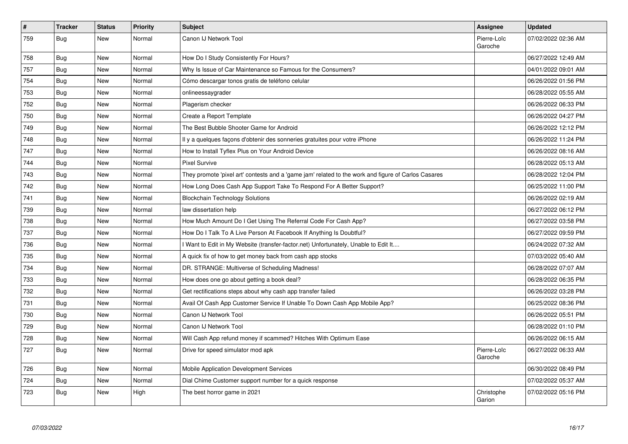| $\vert$ # | <b>Tracker</b> | <b>Status</b> | Priority | <b>Subject</b>                                                                                      | Assignee               | <b>Updated</b>      |
|-----------|----------------|---------------|----------|-----------------------------------------------------------------------------------------------------|------------------------|---------------------|
| 759       | Bug            | <b>New</b>    | Normal   | Canon IJ Network Tool                                                                               | Pierre-Loïc<br>Garoche | 07/02/2022 02:36 AM |
| 758       | <b>Bug</b>     | New           | Normal   | How Do I Study Consistently For Hours?                                                              |                        | 06/27/2022 12:49 AM |
| 757       | <b>Bug</b>     | <b>New</b>    | Normal   | Why Is Issue of Car Maintenance so Famous for the Consumers?                                        |                        | 04/01/2022 09:01 AM |
| 754       | Bug            | <b>New</b>    | Normal   | Cómo descargar tonos gratis de teléfono celular                                                     |                        | 06/26/2022 01:56 PM |
| 753       | Bug            | <b>New</b>    | Normal   | onlineessaygrader                                                                                   |                        | 06/28/2022 05:55 AM |
| 752       | <b>Bug</b>     | <b>New</b>    | Normal   | Plagerism checker                                                                                   |                        | 06/26/2022 06:33 PM |
| 750       | Bug            | <b>New</b>    | Normal   | Create a Report Template                                                                            |                        | 06/26/2022 04:27 PM |
| 749       | Bug            | <b>New</b>    | Normal   | The Best Bubble Shooter Game for Android                                                            |                        | 06/26/2022 12:12 PM |
| 748       | Bug            | New           | Normal   | Il y a quelques façons d'obtenir des sonneries gratuites pour votre iPhone                          |                        | 06/26/2022 11:24 PM |
| 747       | Bug            | New           | Normal   | How to Install Tyflex Plus on Your Android Device                                                   |                        | 06/26/2022 08:16 AM |
| 744       | <b>Bug</b>     | <b>New</b>    | Normal   | <b>Pixel Survive</b>                                                                                |                        | 06/28/2022 05:13 AM |
| 743       | Bug            | New           | Normal   | They promote 'pixel art' contests and a 'game jam' related to the work and figure of Carlos Casares |                        | 06/28/2022 12:04 PM |
| 742       | Bug            | New           | Normal   | How Long Does Cash App Support Take To Respond For A Better Support?                                |                        | 06/25/2022 11:00 PM |
| 741       | <b>Bug</b>     | <b>New</b>    | Normal   | <b>Blockchain Technology Solutions</b>                                                              |                        | 06/26/2022 02:19 AM |
| 739       | Bug            | <b>New</b>    | Normal   | law dissertation help                                                                               |                        | 06/27/2022 06:12 PM |
| 738       | Bug            | <b>New</b>    | Normal   | How Much Amount Do I Get Using The Referral Code For Cash App?                                      |                        | 06/27/2022 03:58 PM |
| 737       | <b>Bug</b>     | <b>New</b>    | Normal   | How Do I Talk To A Live Person At Facebook If Anything Is Doubtful?                                 |                        | 06/27/2022 09:59 PM |
| 736       | Bug            | <b>New</b>    | Normal   | I Want to Edit in My Website (transfer-factor.net) Unfortunately, Unable to Edit It                 |                        | 06/24/2022 07:32 AM |
| 735       | Bug            | <b>New</b>    | Normal   | A quick fix of how to get money back from cash app stocks                                           |                        | 07/03/2022 05:40 AM |
| 734       | Bug            | New           | Normal   | DR. STRANGE: Multiverse of Scheduling Madness!                                                      |                        | 06/28/2022 07:07 AM |
| 733       | Bug            | <b>New</b>    | Normal   | How does one go about getting a book deal?                                                          |                        | 06/28/2022 06:35 PM |
| 732       | <b>Bug</b>     | <b>New</b>    | Normal   | Get rectifications steps about why cash app transfer failed                                         |                        | 06/26/2022 03:28 PM |
| 731       | Bug            | <b>New</b>    | Normal   | Avail Of Cash App Customer Service If Unable To Down Cash App Mobile App?                           |                        | 06/25/2022 08:36 PM |
| 730       | Bug            | New           | Normal   | Canon IJ Network Tool                                                                               |                        | 06/26/2022 05:51 PM |
| 729       | Bug            | New           | Normal   | Canon IJ Network Tool                                                                               |                        | 06/28/2022 01:10 PM |
| 728       | <b>Bug</b>     | New           | Normal   | Will Cash App refund money if scammed? Hitches With Optimum Ease                                    |                        | 06/26/2022 06:15 AM |
| 727       | Bug            | New           | Normal   | Drive for speed simulator mod apk                                                                   | Pierre-Loïc<br>Garoche | 06/27/2022 06:33 AM |
| 726       | Bug            | New           | Normal   | Mobile Application Development Services                                                             |                        | 06/30/2022 08:49 PM |
| 724       | Bug            | <b>New</b>    | Normal   | Dial Chime Customer support number for a quick response                                             |                        | 07/02/2022 05:37 AM |
| 723       | Bug            | New           | High     | The best horror game in 2021                                                                        | Christophe<br>Garion   | 07/02/2022 05:16 PM |